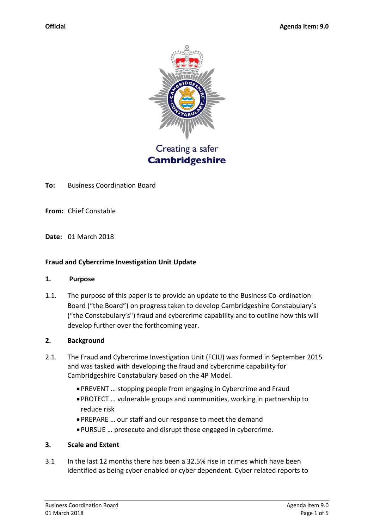

Creating a safer **Cambridgeshire** 

**To:** Business Coordination Board

**From:** Chief Constable

**Date:** 01 March 2018

#### **Fraud and Cybercrime Investigation Unit Update**

#### **1. Purpose**

1.1. The purpose of this paper is to provide an update to the Business Co-ordination Board ("the Board") on progress taken to develop Cambridgeshire Constabulary's ("the Constabulary's") fraud and cybercrime capability and to outline how this will develop further over the forthcoming year.

### **2. Background**

- 2.1. The Fraud and Cybercrime Investigation Unit (FCIU) was formed in September 2015 and was tasked with developing the fraud and cybercrime capability for Cambridgeshire Constabulary based on the 4P Model.
	- PREVENT … stopping people from engaging in Cybercrime and Fraud
	- PROTECT … vulnerable groups and communities, working in partnership to reduce risk
	- PREPARE … our staff and our response to meet the demand
	- PURSUE … prosecute and disrupt those engaged in cybercrime.

### **3. Scale and Extent**

3.1 In the last 12 months there has been a 32.5% rise in crimes which have been identified as being cyber enabled or cyber dependent. Cyber related reports to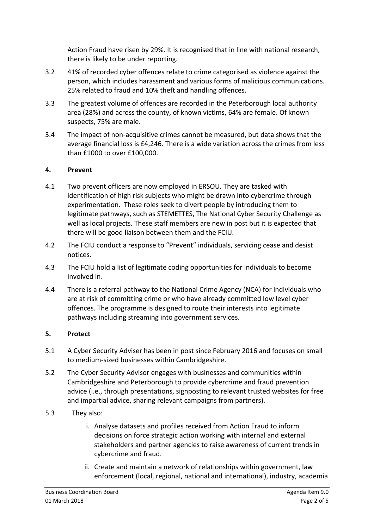Action Fraud have risen by 29%. It is recognised that in line with national research, there is likely to be under reporting.

- 3.2 41% of recorded cyber offences relate to crime categorised as violence against the person, which includes harassment and various forms of malicious communications. 25% related to fraud and 10% theft and handling offences.
- 3.3 The greatest volume of offences are recorded in the Peterborough local authority area (28%) and across the county, of known victims, 64% are female. Of known suspects, 75% are male.
- 3.4 The impact of non-acquisitive crimes cannot be measured, but data shows that the average financial loss is £4,246. There is a wide variation across the crimes from less than £1000 to over £100,000.

## **4. Prevent**

- 4.1 Two prevent officers are now employed in ERSOU. They are tasked with identification of high risk subjects who might be drawn into cybercrime through experimentation. These roles seek to divert people by introducing them to legitimate pathways, such as STEMETTES, The National Cyber Security Challenge as well as local projects. These staff members are new in post but it is expected that there will be good liaison between them and the FCIU.
- 4.2 The FCIU conduct a response to "Prevent" individuals, servicing cease and desist notices.
- 4.3 The FCIU hold a list of legitimate coding opportunities for individuals to become involved in.
- 4.4 There is a referral pathway to the National Crime Agency (NCA) for individuals who are at risk of committing crime or who have already committed low level cyber offences. The programme is designed to route their interests into legitimate pathways including streaming into government services.

# **5. Protect**

- 5.1 A Cyber Security Adviser has been in post since February 2016 and focuses on small to medium-sized businesses within Cambridgeshire.
- 5.2 The Cyber Security Advisor engages with businesses and communities within Cambridgeshire and Peterborough to provide cybercrime and fraud prevention advice (i.e., through presentations, signposting to relevant trusted websites for free and impartial advice, sharing relevant campaigns from partners).
- 5.3 They also:
	- i. Analyse datasets and profiles received from Action Fraud to inform decisions on force strategic action working with internal and external stakeholders and partner agencies to raise awareness of current trends in cybercrime and fraud.
	- ii. Create and maintain a network of relationships within government, law enforcement (local, regional, national and international), industry, academia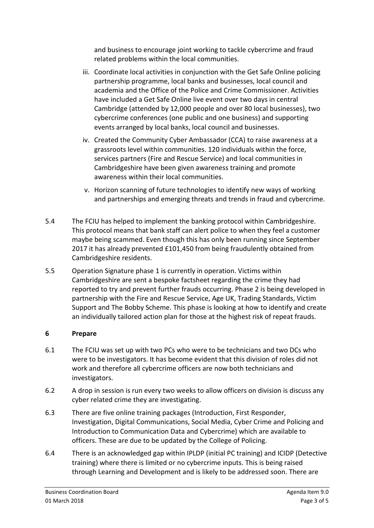and business to encourage joint working to tackle cybercrime and fraud related problems within the local communities.

- iii. Coordinate local activities in conjunction with the Get Safe Online policing partnership programme, local banks and businesses, local council and academia and the Office of the Police and Crime Commissioner. Activities have included a Get Safe Online live event over two days in central Cambridge (attended by 12,000 people and over 80 local businesses), two cybercrime conferences (one public and one business) and supporting events arranged by local banks, local council and businesses.
- iv. Created the Community Cyber Ambassador (CCA) to raise awareness at a grassroots level within communities. 120 individuals within the force, services partners (Fire and Rescue Service) and local communities in Cambridgeshire have been given awareness training and promote awareness within their local communities.
- v. Horizon scanning of future technologies to identify new ways of working and partnerships and emerging threats and trends in fraud and cybercrime.
- 5.4 The FCIU has helped to implement the banking protocol within Cambridgeshire. This protocol means that bank staff can alert police to when they feel a customer maybe being scammed. Even though this has only been running since September 2017 it has already prevented £101,450 from being fraudulently obtained from Cambridgeshire residents.
- 5.5 Operation Signature phase 1 is currently in operation. Victims within Cambridgeshire are sent a bespoke factsheet regarding the crime they had reported to try and prevent further frauds occurring. Phase 2 is being developed in partnership with the Fire and Rescue Service, Age UK, Trading Standards, Victim Support and The Bobby Scheme. This phase is looking at how to identify and create an individually tailored action plan for those at the highest risk of repeat frauds.

## **6 Prepare**

- 6.1 The FCIU was set up with two PCs who were to be technicians and two DCs who were to be investigators. It has become evident that this division of roles did not work and therefore all cybercrime officers are now both technicians and investigators.
- 6.2 A drop in session is run every two weeks to allow officers on division is discuss any cyber related crime they are investigating.
- 6.3 There are five online training packages (Introduction, First Responder, Investigation, Digital Communications, Social Media, Cyber Crime and Policing and Introduction to Communication Data and Cybercrime) which are available to officers. These are due to be updated by the College of Policing.
- 6.4 There is an acknowledged gap within IPLDP (initial PC training) and ICIDP (Detective training) where there is limited or no cybercrime inputs. This is being raised through Learning and Development and is likely to be addressed soon. There are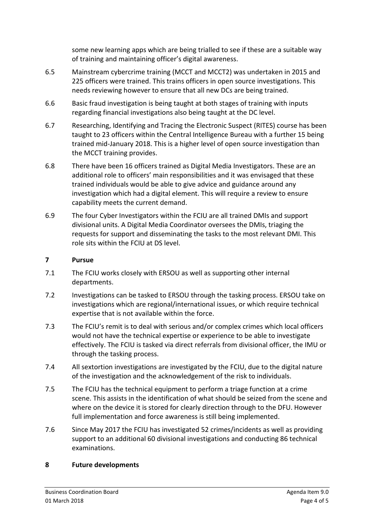some new learning apps which are being trialled to see if these are a suitable way of training and maintaining officer's digital awareness.

- 6.5 Mainstream cybercrime training (MCCT and MCCT2) was undertaken in 2015 and 225 officers were trained. This trains officers in open source investigations. This needs reviewing however to ensure that all new DCs are being trained.
- 6.6 Basic fraud investigation is being taught at both stages of training with inputs regarding financial investigations also being taught at the DC level.
- 6.7 Researching, Identifying and Tracing the Electronic Suspect (RITES) course has been taught to 23 officers within the Central Intelligence Bureau with a further 15 being trained mid-January 2018. This is a higher level of open source investigation than the MCCT training provides.
- 6.8 There have been 16 officers trained as Digital Media Investigators. These are an additional role to officers' main responsibilities and it was envisaged that these trained individuals would be able to give advice and guidance around any investigation which had a digital element. This will require a review to ensure capability meets the current demand.
- 6.9 The four Cyber Investigators within the FCIU are all trained DMIs and support divisional units. A Digital Media Coordinator oversees the DMIs, triaging the requests for support and disseminating the tasks to the most relevant DMI. This role sits within the FCIU at DS level.

## **7 Pursue**

- 7.1 The FCIU works closely with ERSOU as well as supporting other internal departments.
- 7.2 Investigations can be tasked to ERSOU through the tasking process. ERSOU take on investigations which are regional/international issues, or which require technical expertise that is not available within the force.
- 7.3 The FCIU's remit is to deal with serious and/or complex crimes which local officers would not have the technical expertise or experience to be able to investigate effectively. The FCIU is tasked via direct referrals from divisional officer, the IMU or through the tasking process.
- 7.4 All sextortion investigations are investigated by the FCIU, due to the digital nature of the investigation and the acknowledgement of the risk to individuals.
- 7.5 The FCIU has the technical equipment to perform a triage function at a crime scene. This assists in the identification of what should be seized from the scene and where on the device it is stored for clearly direction through to the DFU. However full implementation and force awareness is still being implemented.
- 7.6 Since May 2017 the FCIU has investigated 52 crimes/incidents as well as providing support to an additional 60 divisional investigations and conducting 86 technical examinations.

## **8 Future developments**